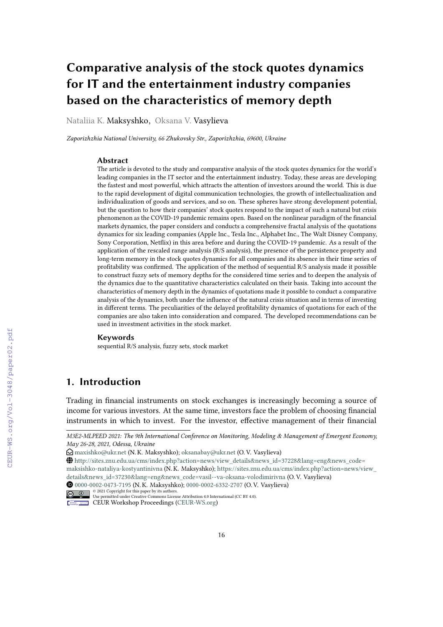# **Comparative analysis of the stock quotes dynamics for IT and the entertainment industry companies based on the characteristics of memory depth**

Nataliia K. Maksyshko, Oksana V. Vasylieva

*Zaporizhzhia National University, 66 Zhukovsky Str., Zaporizhzhia, 69600, Ukraine*

#### **Abstract**

The article is devoted to the study and comparative analysis of the stock quotes dynamics for the world's leading companies in the IT sector and the entertainment industry. Today, these areas are developing the fastest and most powerful, which attracts the attention of investors around the world. This is due to the rapid development of digital communication technologies, the growth of intellectualization and individualization of goods and services, and so on. These spheres have strong development potential, but the question to how their companies' stock quotes respond to the impact of such a natural but crisis phenomenon as the COVID-19 pandemic remains open. Based on the nonlinear paradigm of the financial markets dynamics, the paper considers and conducts a comprehensive fractal analysis of the quotations dynamics for six leading companies (Apple Inc., Tesla Inc., Alphabet Inc., The Walt Disney Company, Sony Corporation, Netflix) in this area before and during the COVID-19 pandemic. As a result of the application of the rescaled range analysis (R/S analysis), the presence of the persistence property and long-term memory in the stock quotes dynamics for all companies and its absence in their time series of profitability was confirmed. The application of the method of sequential R/S analysis made it possible to construct fuzzy sets of memory depths for the considered time series and to deepen the analysis of the dynamics due to the quantitative characteristics calculated on their basis. Taking into account the characteristics of memory depth in the dynamics of quotations made it possible to conduct a comparative analysis of the dynamics, both under the influence of the natural crisis situation and in terms of investing in different terms. The peculiarities of the delayed profitability dynamics of quotations for each of the companies are also taken into consideration and compared. The developed recommendations can be used in investment activities in the stock market.

#### **Keywords**

sequential R/S analysis, fuzzy sets, stock market

# **1. Introduction**

Trading in financial instruments on stock exchanges is increasingly becoming a source of income for various investors. At the same time, investors face the problem of choosing financial instruments in which to invest. For the investor, effective management of their financial

*M3E2-MLPEED 2021: The 9th International Conference on Monitoring, Modeling & Management of Emergent Economy, May 26-28, 2021, Odessa, Ukraine*

 $\bigcirc$  [maxishko@ukr.net](mailto:maxishko@ukr.net) (N. K. Maksyshko); [oksanabay@ukr.net](mailto:oksanabay@ukr.net) (O. V. Vasylieva)

GLOBE [http://sites.znu.edu.ua/cms/index.php?action=news/view\\_details&news\\_id=37228&lang=eng&news\\_code=](http://sites.znu.edu.ua/cms/index.php?action=news/view_details&news_id=37228&lang=eng&news_code=maksishko-nataliya-kostyantinivna)

[maksishko-nataliya-kostyantinivna](http://sites.znu.edu.ua/cms/index.php?action=news/view_details&news_id=37228&lang=eng&news_code=maksishko-nataliya-kostyantinivna) (N. K. Maksyshko); [https://sites.znu.edu.ua/cms/index.php?action=news/view\\_](https://sites.znu.edu.ua/cms/index.php?action=news/view_details&news_id=37230&lang=eng&news_code=vasil--va-oksana-volodimirivna) [details&news\\_id=37230&lang=eng&news\\_code=vasil--va-oksana-volodimirivna](https://sites.znu.edu.ua/cms/index.php?action=news/view_details&news_id=37230&lang=eng&news_code=vasil--va-oksana-volodimirivna) (O. V. Vasylieva)

Orcid [0000-0002-0473-7195](https://orcid.org/0000-0002-0473-7195) (N. K. Maksyshko); [0000-0002-6332-2707](https://orcid.org/0000-0002-6332-2707) (O. V. Vasylieva) © 2021 Copyright for this paper by its authors. Use permitted under Creative Commons License Attribution 4.0 International (CC BY 4.0).

CEUR Workshop [Proceedings](http://ceur-ws.org) [\(CEUR-WS.org\)](http://ceur-ws.org)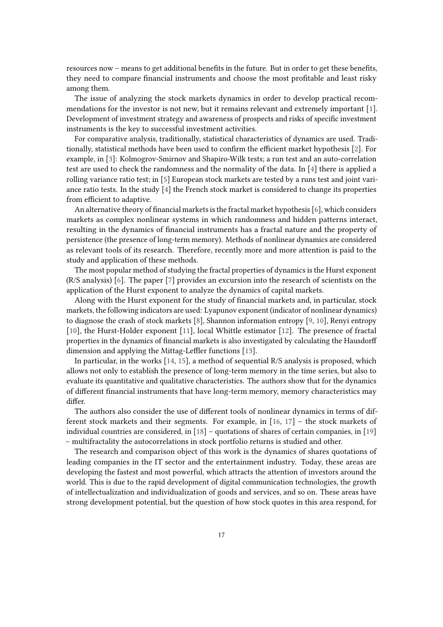resources now – means to get additional benefits in the future. But in order to get these benefits, they need to compare financial instruments and choose the most profitable and least risky among them.

The issue of analyzing the stock markets dynamics in order to develop practical recommendations for the investor is not new, but it remains relevant and extremely important [\[1\]](#page-13-0). Development of investment strategy and awareness of prospects and risks of specific investment instruments is the key to successful investment activities.

For comparative analysis, traditionally, statistical characteristics of dynamics are used. Traditionally, statistical methods have been used to confirm the efficient market hypothesis [\[2\]](#page-13-1). For example, in [\[3\]](#page-13-2): Kolmogrov-Smirnov and Shapiro-Wilk tests; a run test and an auto-correlation test are used to check the randomness and the normality of the data. In [\[4\]](#page-13-3) there is applied a rolling variance ratio test; in [\[5\]](#page-13-4) European stock markets are tested by a runs test and joint variance ratio tests. In the study [\[4\]](#page-13-3) the French stock market is considered to change its properties from efficient to adaptive.

An alternative theory of financial markets is the fractal market hypothesis [\[6\]](#page-13-5), which considers markets as complex nonlinear systems in which randomness and hidden patterns interact, resulting in the dynamics of financial instruments has a fractal nature and the property of persistence (the presence of long-term memory). Methods of nonlinear dynamics are considered as relevant tools of its research. Therefore, recently more and more attention is paid to the study and application of these methods.

The most popular method of studying the fractal properties of dynamics is the Hurst exponent (R/S analysis) [\[6\]](#page-13-5). The paper [\[7\]](#page-13-6) provides an excursion into the research of scientists on the application of the Hurst exponent to analyze the dynamics of capital markets.

Along with the Hurst exponent for the study of financial markets and, in particular, stock markets, the following indicators are used: Lyapunov exponent (indicator of nonlinear dynamics) to diagnose the crash of stock markets [\[8\]](#page-13-7), Shannon information entropy [\[9,](#page-13-8) [10\]](#page-13-9), Renyi entropy [\[10\]](#page-13-9), the Hurst-Holder exponent [\[11\]](#page-13-10), local Whittle estimator [\[12\]](#page-13-11). The presence of fractal properties in the dynamics of financial markets is also investigated by calculating the Hausdorff dimension and applying the Mittag-Leffler functions [\[13\]](#page-13-12).

In particular, in the works [\[14,](#page-13-13) [15\]](#page-13-14), a method of sequential R/S analysis is proposed, which allows not only to establish the presence of long-term memory in the time series, but also to evaluate its quantitative and qualitative characteristics. The authors show that for the dynamics of different financial instruments that have long-term memory, memory characteristics may differ.

The authors also consider the use of different tools of nonlinear dynamics in terms of different stock markets and their segments. For example, in [\[16,](#page-14-0) [17\]](#page-14-1) – the stock markets of individual countries are considered, in [\[18\]](#page-14-2) – quotations of shares of certain companies, in [\[19\]](#page-14-3) – multifractality the autocorrelations in stock portfolio returns is studied and other.

The research and comparison object of this work is the dynamics of shares quotations of leading companies in the IT sector and the entertainment industry. Today, these areas are developing the fastest and most powerful, which attracts the attention of investors around the world. This is due to the rapid development of digital communication technologies, the growth of intellectualization and individualization of goods and services, and so on. These areas have strong development potential, but the question of how stock quotes in this area respond, for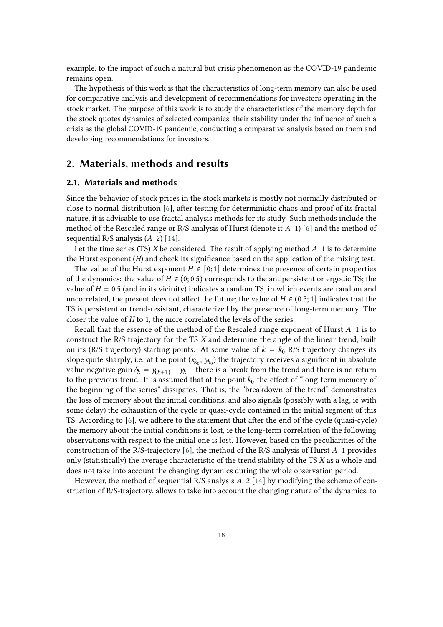example, to the impact of such a natural but crisis phenomenon as the COVID-19 pandemic remains open.

The hypothesis of this work is that the characteristics of long-term memory can also be used for comparative analysis and development of recommendations for investors operating in the stock market. The purpose of this work is to study the characteristics of the memory depth for the stock quotes dynamics of selected companies, their stability under the influence of such a crisis as the global COVID-19 pandemic, conducting a comparative analysis based on them and developing recommendations for investors.

# **2. Materials, methods and results**

#### **2.1. Materials and methods**

Since the behavior of stock prices in the stock markets is mostly not normally distributed or close to normal distribution [\[6\]](#page-13-5), after testing for deterministic chaos and proof of its fractal nature, it is advisable to use fractal analysis methods for its study. Such methods include the method of the Rescaled range or R/S analysis of Hurst (denote it  $A_1$ ) [\[6\]](#page-13-5) and the method of sequential R/S analysis  $(A \ 2)$  [\[14\]](#page-13-13).

Let the time series (TS)  $X$  be considered. The result of applying method  $A_1$  is to determine the Hurst exponent  $(H)$  and check its significance based on the application of the mixing test.

The value of the Hurst exponent  $H \in [0, 1]$  determines the presence of certain properties of the dynamics: the value of  $H \in (0, 0.5)$  corresponds to the antipersistent or ergodic TS; the value of  $H = 0.5$  (and in its vicinity) indicates a random TS, in which events are random and uncorrelated, the present does not affect the future; the value of  $H \in (0.5; 1]$  indicates that the TS is persistent or trend-resistant, characterized by the presence of long-term memory. The closer the value of  $H$  to 1, the more correlated the levels of the series.

Recall that the essence of the method of the Rescaled range exponent of Hurst  $A_1$  is to construct the R/S trajectory for the TS  $X$  and determine the angle of the linear trend, built on its (R/S trajectory) starting points. At some value of  $k = k_0$  R/S trajectory changes its slope quite sharply, i.e. at the point  $(x_{k_0}, y_{k_0})$  the trajectory receives a significant in absolute value negative gain  $\delta_k = y_{(k+1)} - y_k$  – there is a break from the trend and there is no return to the previous trend. It is assumed that at the point  $k_0$  the effect of "long-term memory of the beginning of the series" dissipates. That is, the "breakdown of the trend" demonstrates the loss of memory about the initial conditions, and also signals (possibly with a lag, ie with some delay) the exhaustion of the cycle or quasi-cycle contained in the initial segment of this TS. According to [\[6\]](#page-13-5), we adhere to the statement that after the end of the cycle (quasi-cycle) the memory about the initial conditions is lost, ie the long-term correlation of the following observations with respect to the initial one is lost. However, based on the peculiarities of the construction of the R/S-trajectory [\[6\]](#page-13-5), the method of the R/S analysis of Hurst  $A_1$  provides only (statistically) the average characteristic of the trend stability of the TS  $X$  as a whole and does not take into account the changing dynamics during the whole observation period.

However, the method of sequential R/S analysis  $A_2$  [\[14\]](#page-13-13) by modifying the scheme of construction of R/S-trajectory, allows to take into account the changing nature of the dynamics, to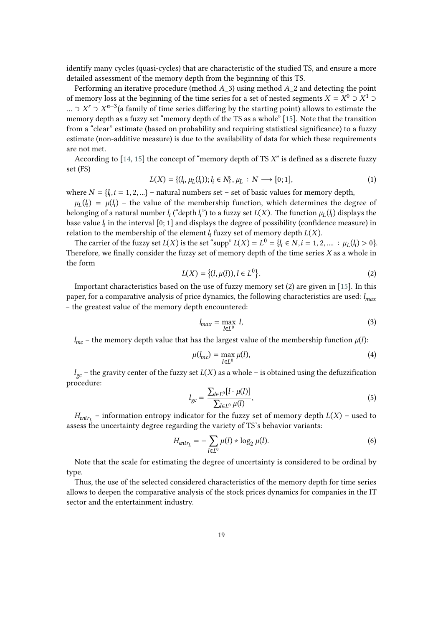identify many cycles (quasi-cycles) that are characteristic of the studied TS, and ensure a more detailed assessment of the memory depth from the beginning of this TS.

Performing an iterative procedure (method  $A_3$ ) using method  $A_2$  and detecting the point of memory loss at the beginning of the time series for a set of nested segments  $X = X^0 \supset X^1 \supset$ … ⊃  $X^r$  ⊃  $X^{n-3}$ (a family of time series differing by the starting point) allows to estimate the memory depth as a fuzzy set "memory depth of the TS as a whole" [\[15\]](#page-13-14). Note that the transition from a "clear" estimate (based on probability and requiring statistical significance) to a fuzzy estimate (non-additive measure) is due to the availability of data for which these requirements are not met.

According to  $[14, 15]$  $[14, 15]$  the concept of "memory depth of TS  $X$ " is defined as a discrete fuzzy set (FS)

$$
L(X) = \{ (l_i, \mu_L(l_i)); l_i \in N \}, \mu_L : N \longrightarrow [0; 1],
$$
\n(1)

where  $N = \{l_i, i = 1, 2, ...\}$  – natural numbers set – set of basic values for memory depth,

 $\mu_L(l_i) = \mu(l_i)$  – the value of the membership function, which determines the degree of belonging of a natural number  $l_i$  ("depth  $l_i$ ") to a fuzzy set  $L(X)$ . The function  $\mu_L(l_i)$  displays the base value  $l_i$  in the interval  $[0; 1]$  and displays the degree of possibility (confidence measure) in relation to the membership of the element  $l_i$  fuzzy set of memory depth  $L(X)$ .

The carrier of the fuzzy set  $L(X)$  is the set "supp"  $L(X) = L^0 = \{l_i \in N, i = 1, 2, ... : \mu_L(l_i) > 0\}$ . Therefore, we finally consider the fuzzy set of memory depth of the time series  $X$  as a whole in the form

$$
L(X) = \{(l, \mu(l)), l \in L^0\}.
$$
 (2)

Important characteristics based on the use of fuzzy memory set (2) are given in [\[15\]](#page-13-14). In this paper, for a comparative analysis of price dynamics, the following characteristics are used:  $l_{max}$ – the greatest value of the memory depth encountered:

$$
l_{max} = \max_{l \in L^0} l,\tag{3}
$$

 $l_{mc}$  – the memory depth value that has the largest value of the membership function  $\mu(l)$ :

$$
\mu(l_{mc}) = \max_{l \in L^0} \mu(l),\tag{4}
$$

 $l_{gc}$  – the gravity center of the fuzzy set  $L(X)$  as a whole – is obtained using the defuzzification procedure:

$$
l_{gc} = \frac{\sum_{l \in L^{0}} [l \cdot \mu(l)]}{\sum_{l \in L^{0}} \mu(l)},
$$
\n(5)

 $H_{\text{entr}_L}$  – information entropy indicator for the fuzzy set of memory depth  $L(X)$  – used to assess the uncertainty degree regarding the variety of TS's behavior variants:

$$
H_{\text{entr}_{L}} = -\sum_{l \in L^{0}} \mu(l) * \log_{2} \mu(l). \tag{6}
$$

Note that the scale for estimating the degree of uncertainty is considered to be ordinal by type.

Thus, the use of the selected considered characteristics of the memory depth for time series allows to deepen the comparative analysis of the stock prices dynamics for companies in the IT sector and the entertainment industry.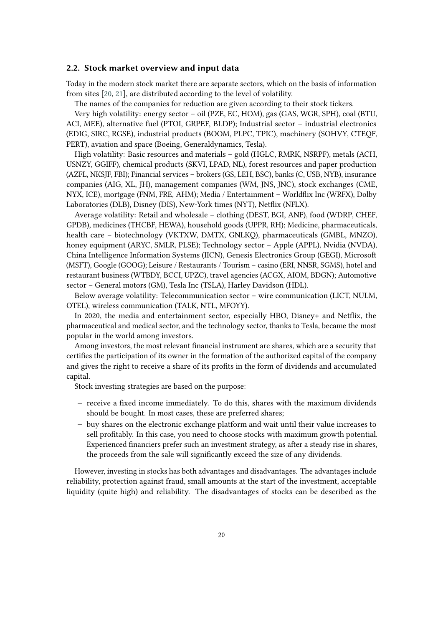#### **2.2. Stock market overview and input data**

Today in the modern stock market there are separate sectors, which on the basis of information from sites [\[20,](#page-14-4) [21\]](#page-14-5), are distributed according to the level of volatility.

The names of the companies for reduction are given according to their stock tickers.

Very high volatility: energy sector – oil (PZE, EC, HOM), gas (GAS, WGR, SPH), coal (BTU, ACI, MEE), alternative fuel (PTOI, GRPEF, BLDP); Industrial sector – industrial electronics (EDIG, SIRC, RGSE), industrial products (BOOM, PLPC, TPIC), machinery (SOHVY, CTEQF, PERT), aviation and space (Boeing, Generaldynamics, Tesla).

High volatility: Basic resources and materials – gold (HGLC, RMRK, NSRPF), metals (ACH, USNZY, GGIFF), chemical products (SKVI, LPAD, NL), forest resources and paper production (AZFL, NKSJF, FBI); Financial services – brokers (GS, LEH, BSC), banks (C, USB, NYB), insurance companies (AIG, XL, JH), management companies (WM, JNS, JNC), stock exchanges (CME, NYX, ICE), mortgage (FNM, FRE, AHM); Media / Entertainment – Worldflix Inc (WRFX), Dolby Laboratories (DLB), Disney (DIS), New-York times (NYT), Netflix (NFLX).

Average volatility: Retail and wholesale – clothing (DEST, BGI, ANF), food (WDRP, CHEF, GPDB), medicines (THCBF, HEWA), household goods (UPPR, RH); Medicine, pharmaceuticals, health care – biotechnology (VKTXW, DMTX, GNLKQ), pharmaceuticals (GMBL, MNZO), honey equipment (ARYC, SMLR, PLSE); Technology sector – Apple (APPL), Nvidia (NVDA), China Intelligence Information Systems (IICN), Genesis Electronics Group (GEGI), Microsoft (MSFT), Google (GOOG); Leisure / Restaurants / Tourism – casino (ERI, NNSR, SGMS), hotel and restaurant business (WTBDY, BCCI, UPZC), travel agencies (ACGX, AIOM, BDGN); Automotive sector – General motors (GM), Tesla Inc (TSLA), Harley Davidson (HDL).

Below average volatility: Telecommunication sector – wire communication (LICT, NULM, OTEL), wireless communication (TALK, NTL, MFOYY).

In 2020, the media and entertainment sector, especially HBO, Disney+ and Netflix, the pharmaceutical and medical sector, and the technology sector, thanks to Tesla, became the most popular in the world among investors.

Among investors, the most relevant financial instrument are shares, which are a security that certifies the participation of its owner in the formation of the authorized capital of the company and gives the right to receive a share of its profits in the form of dividends and accumulated capital.

Stock investing strategies are based on the purpose:

- − receive a fixed income immediately. To do this, shares with the maximum dividends should be bought. In most cases, these are preferred shares;
- − buy shares on the electronic exchange platform and wait until their value increases to sell profitably. In this case, you need to choose stocks with maximum growth potential. Experienced financiers prefer such an investment strategy, as after a steady rise in shares, the proceeds from the sale will significantly exceed the size of any dividends.

However, investing in stocks has both advantages and disadvantages. The advantages include reliability, protection against fraud, small amounts at the start of the investment, acceptable liquidity (quite high) and reliability. The disadvantages of stocks can be described as the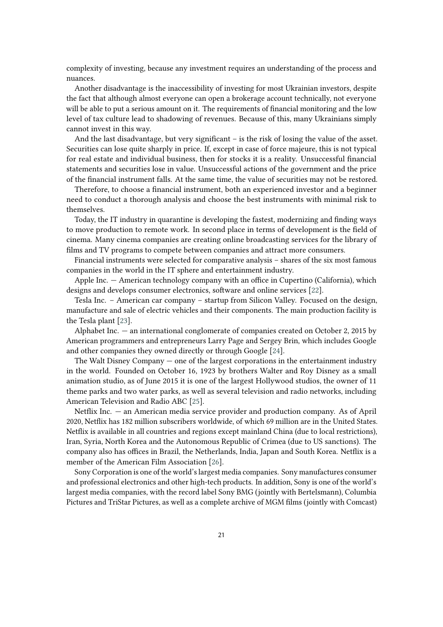complexity of investing, because any investment requires an understanding of the process and nuances.

Another disadvantage is the inaccessibility of investing for most Ukrainian investors, despite the fact that although almost everyone can open a brokerage account technically, not everyone will be able to put a serious amount on it. The requirements of financial monitoring and the low level of tax culture lead to shadowing of revenues. Because of this, many Ukrainians simply cannot invest in this way.

And the last disadvantage, but very significant – is the risk of losing the value of the asset. Securities can lose quite sharply in price. If, except in case of force majeure, this is not typical for real estate and individual business, then for stocks it is a reality. Unsuccessful financial statements and securities lose in value. Unsuccessful actions of the government and the price of the financial instrument falls. At the same time, the value of securities may not be restored.

Therefore, to choose a financial instrument, both an experienced investor and a beginner need to conduct a thorough analysis and choose the best instruments with minimal risk to themselves.

Today, the IT industry in quarantine is developing the fastest, modernizing and finding ways to move production to remote work. In second place in terms of development is the field of cinema. Many cinema companies are creating online broadcasting services for the library of films and TV programs to compete between companies and attract more consumers.

Financial instruments were selected for comparative analysis – shares of the six most famous companies in the world in the IT sphere and entertainment industry.

Apple Inc. — American technology company with an office in Cupertino (California), which designs and develops consumer electronics, software and online services [\[22\]](#page-14-6).

Tesla Inc. – American car company – startup from Silicon Valley. Focused on the design, manufacture and sale of electric vehicles and their components. The main production facility is the Tesla plant [\[23\]](#page-14-7).

Alphabet Inc. — an international conglomerate of companies created on October 2, 2015 by American programmers and entrepreneurs Larry Page and Sergey Brin, which includes Google and other companies they owned directly or through Google [\[24\]](#page-14-8).

The Walt Disney Company — one of the largest corporations in the entertainment industry in the world. Founded on October 16, 1923 by brothers Walter and Roy Disney as a small animation studio, as of June 2015 it is one of the largest Hollywood studios, the owner of 11 theme parks and two water parks, as well as several television and radio networks, including American Television and Radio ABC [\[25\]](#page-14-9).

Netflix Inc. — an American media service provider and production company. As of April 2020, Netflix has 182 million subscribers worldwide, of which 69 million are in the United States. Netflix is available in all countries and regions except mainland China (due to local restrictions), Iran, Syria, North Korea and the Autonomous Republic of Crimea (due to US sanctions). The company also has offices in Brazil, the Netherlands, India, Japan and South Korea. Netflix is a member of the American Film Association [\[26\]](#page-14-10).

Sony Corporation is one of the world's largest media companies. Sony manufactures consumer and professional electronics and other high-tech products. In addition, Sony is one of the world's largest media companies, with the record label Sony BMG (jointly with Bertelsmann), Columbia Pictures and TriStar Pictures, as well as a complete archive of MGM films (jointly with Comcast)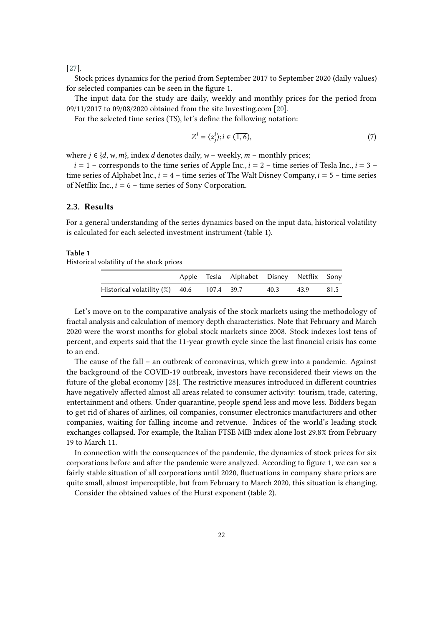[\[27\]](#page-14-11).

Stock prices dynamics for the period from September 2017 to September 2020 (daily values) for selected companies can be seen in the figure 1.

The input data for the study are daily, weekly and monthly prices for the period from 09/11/2017 to 09/08/2020 obtained from the site Investing.com [\[20\]](#page-14-4).

For the selected time series (TS), let's define the following notation:

$$
Z^{i} = \langle z_{j}^{i} \rangle; i \in (\overline{1, 6}), \tag{7}
$$

where  $j \in \{d, w, m\}$ , index *d* denotes daily,  $w$  – weekly,  $m$  – monthly prices;

 $i = 1$  – corresponds to the time series of Apple Inc.,  $i = 2$  – time series of Tesla Inc.,  $i = 3$  – time series of Alphabet Inc.,  $i = 4$  – time series of The Walt Disney Company,  $i = 5$  – time series of Netflix Inc.,  $i = 6$  – time series of Sony Corporation.

#### **2.3. Results**

For a general understanding of the series dynamics based on the input data, historical volatility is calculated for each selected investment instrument (table 1).

#### **Table 1**

Historical volatility of the stock prices

|                                              |  | Apple Tesla Alphabet Disney Netflix Sony |                |  |
|----------------------------------------------|--|------------------------------------------|----------------|--|
| Historical volatility $(\%)$ 40.6 107.4 39.7 |  |                                          | 40.3 43.9 81.5 |  |

Let's move on to the comparative analysis of the stock markets using the methodology of fractal analysis and calculation of memory depth characteristics. Note that February and March 2020 were the worst months for global stock markets since 2008. Stock indexes lost tens of percent, and experts said that the 11-year growth cycle since the last financial crisis has come to an end.

The cause of the fall – an outbreak of coronavirus, which grew into a pandemic. Against the background of the COVID-19 outbreak, investors have reconsidered their views on the future of the global economy [\[28\]](#page-14-12). The restrictive measures introduced in different countries have negatively affected almost all areas related to consumer activity: tourism, trade, catering, entertainment and others. Under quarantine, people spend less and move less. Bidders began to get rid of shares of airlines, oil companies, consumer electronics manufacturers and other companies, waiting for falling income and retvenue. Indices of the world's leading stock exchanges collapsed. For example, the Italian FTSE MIB index alone lost 29.8% from February 19 to March 11.

In connection with the consequences of the pandemic, the dynamics of stock prices for six corporations before and after the pandemic were analyzed. According to figure 1, we can see a fairly stable situation of all corporations until 2020, fluctuations in company share prices are quite small, almost imperceptible, but from February to March 2020, this situation is changing.

Consider the obtained values of the Hurst exponent (table 2).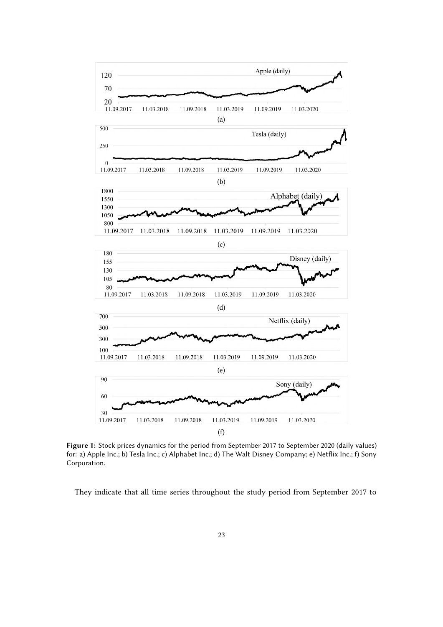

**Figure 1:** Stock prices dynamics for the period from September 2017 to September 2020 (daily values) for: a) Apple Inc.; b) Tesla Inc.; c) Alphabet Inc.; d) The Walt Disney Company; e) Netflix Inc.; f) Sony Corporation.

They indicate that all time series throughout the study period from September 2017 to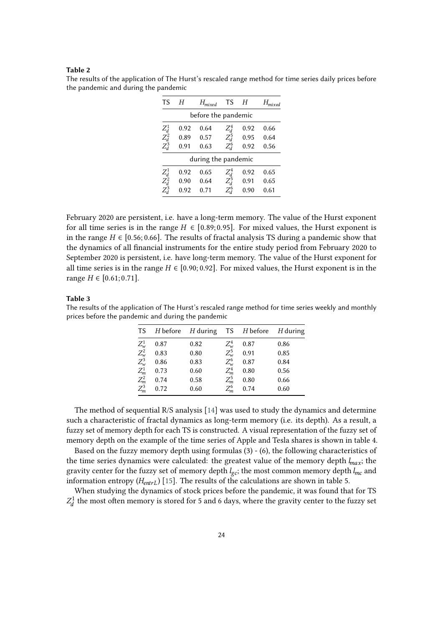#### **Table 2**

The results of the application of The Hurst's rescaled range method for time series daily prices before the pandemic and during the pandemic

| TS                                           | H    | $H_{mixed}$         |         | Н    |      |  |  |
|----------------------------------------------|------|---------------------|---------|------|------|--|--|
|                                              |      | before the pandemic |         |      |      |  |  |
|                                              | 0.92 | 0.64                | $Z_d^4$ | 0.92 | 0.66 |  |  |
| $\begin{array}{c} Z_d^1 \ Z_d^2 \end{array}$ | 0.89 | 0.57                | $Z_d^5$ | 0.95 | 0.64 |  |  |
| $Z_d^3$                                      | 0.91 | 0.63                | $Z_d^6$ | 0.92 | 0.56 |  |  |
| during the pandemic                          |      |                     |         |      |      |  |  |
|                                              | 0.92 | 0.65                | $Z_d^4$ | 0.92 | 0.65 |  |  |
| $\begin{array}{c} Z_d^1 \ Z_d^2 \end{array}$ | 0.90 | 0.64                | $Z_d^5$ | 0.91 | 0.65 |  |  |
| $Z_d^3$                                      | 0.92 | 0.71                | $Z_d^6$ | 0.90 | 0.61 |  |  |

February 2020 are persistent, i.e. have a long-term memory. The value of the Hurst exponent for all time series is in the range  $H \in [0.89; 0.95]$ . For mixed values, the Hurst exponent is in the range  $H \in [0.56; 0.66]$ . The results of fractal analysis TS during a pandemic show that the dynamics of all financial instruments for the entire study period from February 2020 to September 2020 is persistent, i.e. have long-term memory. The value of the Hurst exponent for all time series is in the range  $H \in [0.90; 0.92]$ . For mixed values, the Hurst exponent is in the range  $H \in [0.61; 0.71]$ .

#### **Table 3**

The results of the application of The Hurst's rescaled range method for time series weekly and monthly prices before the pandemic and during the pandemic

| TS                                                            | $H$ before | $H$ during |             | TS H before | $H$ during |
|---------------------------------------------------------------|------------|------------|-------------|-------------|------------|
|                                                               | 0.87       | 0.82       | $Z^4_w$     | 0.87        | 0.86       |
| $Z^1_{w}$<br>$Z^2_{w}$<br>$Z^3_{m}$<br>$Z^1_{m}$<br>$Z^2_{m}$ | 0.83       | 0.80       | $Z_{w}^{5}$ | 0.91        | 0.85       |
|                                                               | 0.86       | 0.83       | $Z_w^6$     | 0.87        | 0.84       |
|                                                               | 0.73       | 0.60       | $Z_m^4$     | 0.80        | 0.56       |
|                                                               | 0.74       | 0.58       | $Z_m^5$     | 0.80        | 0.66       |
| $Z_m^3$                                                       | 0.72       | 0.60       | $Z_m^6$     | 0.74        | 0.60       |

The method of sequential R/S analysis [\[14\]](#page-13-13) was used to study the dynamics and determine such a characteristic of fractal dynamics as long-term memory (i.e. its depth). As a result, a fuzzy set of memory depth for each TS is constructed. A visual representation of the fuzzy set of memory depth on the example of the time series of Apple and Tesla shares is shown in table 4.

Based on the fuzzy memory depth using formulas (3) - (6), the following characteristics of the time series dynamics were calculated: the greatest value of the memory depth  $l_{max}$ ; the gravity center for the fuzzy set of memory depth  $l_{gc}$ ; the most common memory depth  $l_{mc}$  and information entropy  $(H_{entrL})$  [\[15\]](#page-13-14). The results of the calculations are shown in table 5.

When studying the dynamics of stock prices before the pandemic, it was found that for TS  $Z_d^1$  the most often memory is stored for 5 and 6 days, where the gravity center to the fuzzy set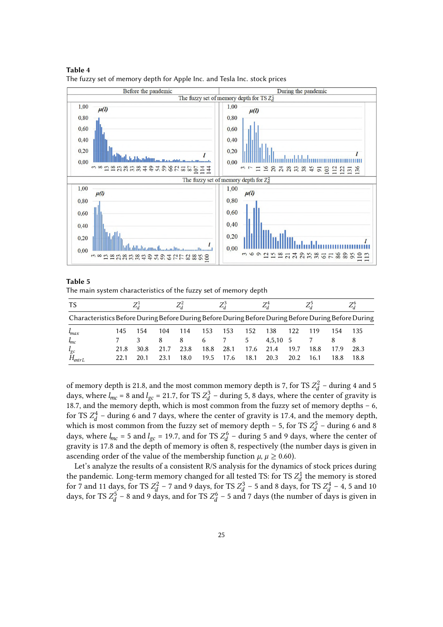

**Table 4** The fuzzy set of memory depth for Apple Inc. and Tesla Inc. stock prices

#### **Table 5**

The main system characteristics of the fuzzy set of memory depth

| TS                                                                                                  |      |      |      | Zź    |      | Ζå   |      | $Z_d^4$         |      | Z,   |      |      |
|-----------------------------------------------------------------------------------------------------|------|------|------|-------|------|------|------|-----------------|------|------|------|------|
| Characteristics Before During Before During Before During Before During Before During Before During |      |      |      |       |      |      |      |                 |      |      |      |      |
| $\mu_{max}$                                                                                         | 145  | 154  | 104  | 114   | 153  | 153  | 152  | 138             | 122  | 119  | 154  | 135  |
| $l_{mc}$                                                                                            |      |      | 8    | -8    | 6    |      | 5    | $4.5.10\quad 5$ |      |      |      |      |
| $l_{gc}$                                                                                            | 21.8 | 30.8 | 21.7 | 23.8  | 18.8 | 28.1 | 17.6 | 21.4            | 19.7 | 18.8 | 17.9 | 28.3 |
| $H_{entrL}$                                                                                         |      | 20.1 | 23.1 | 18.0. | 19.5 | 17.6 | 18.1 | 20.3            | 20.2 | 16.1 | 18.8 | 18.8 |

of memory depth is 21.8, and the most common memory depth is 7, for TS  $Z_d^2$  – during 4 and 5 days, where  $l_{mc}$  = 8 and  $l_{gc}$  = 21.7, for TS  $Z_d^3$  – during 5, 8 days, where the center of gravity is 18.7, and the memory depth, which is most common from the fuzzy set of memory depths – 6, for TS  $Z_d^4$  – during 6 and 7 days, where the center of gravity is 17.4, and the memory depth, which is most common from the fuzzy set of memory depth – 5, for TS  $Z_d^5$  – during 6 and 8 days, where  $l_{mc}$  = 5 and  $l_{gc}$  = 19.7, and for TS  $Z_d^6$  – during 5 and 9 days, where the center of gravity is 17.8 and the depth of memory is often 8, respectively (the number days is given in ascending order of the value of the membership function  $\mu$ ,  $\mu \geq 0.60$ ).

Let's analyze the results of a consistent R/S analysis for the dynamics of stock prices during the pandemic. Long-term memory changed for all tested TS: for TS  $Z_d^1$  the memory is stored for 7 and 11 days, for TS  $Z_d^2$  – 7 and 9 days, for TS  $Z_d^3$  – 5 and 8 days, for TS  $Z_d^4$  – 4, 5 and 10 days, for TS  $Z_d^5$  – 8 and 9 days, and for TS  $Z_d^6$  – 5 and 7 days (the number of days is given in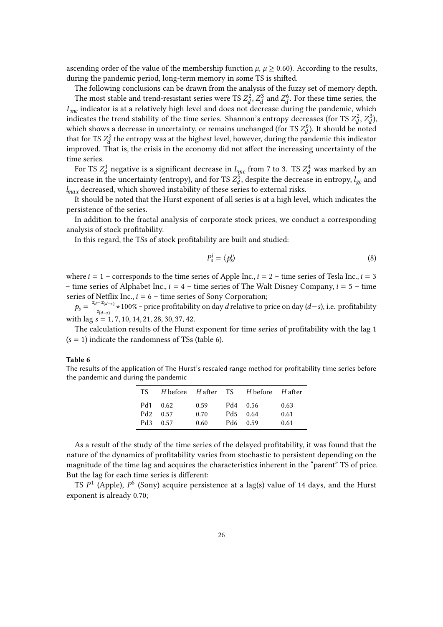ascending order of the value of the membership function  $\mu$ ,  $\mu \geq 0.60$ ). According to the results, during the pandemic period, long-term memory in some TS is shifted.

The following conclusions can be drawn from the analysis of the fuzzy set of memory depth. The most stable and trend-resistant series were TS  $Z_d^2$ ,  $Z_d^3$  and  $Z_d^6$ . For these time series, the  $L_{mc}$  indicator is at a relatively high level and does not decrease during the pandemic, which indicates the trend stability of the time series. Shannon's entropy decreases (for TS  $Z_d^2$ ,  $Z_d^3$ ), which shows a decrease in uncertainty, or remains unchanged (for TS  $Z_d^6$ ). It should be noted that for TS  $Z_d^2$  the entropy was at the highest level, however, during the pandemic this indicator improved. That is, the crisis in the economy did not affect the increasing uncertainty of the time series.

For TS  $Z_d^1$  negative is a significant decrease in  $L_{mc}$  from 7 to 3. TS  $Z_d^4$  was marked by an increase in the uncertainty (entropy), and for TS  $Z_d^5$ , despite the decrease in entropy,  $l_{gc}$  and  $l_{max}$  decreased, which showed instability of these series to external risks.

It should be noted that the Hurst exponent of all series is at a high level, which indicates the persistence of the series.

In addition to the fractal analysis of corporate stock prices, we conduct a corresponding analysis of stock profitability.

In this regard, the TSs of stock profitability are built and studied:

$$
P_s^i = \langle p_s^i \rangle \tag{8}
$$

where  $i = 1$  – corresponds to the time series of Apple Inc.,  $i = 2$  – time series of Tesla Inc.,  $i = 3$ – time series of Alphabet Inc.,  $i = 4$  – time series of The Walt Disney Company,  $i = 5$  – time series of Netflix Inc.,  $i = 6$  – time series of Sony Corporation;

 $p_s = \frac{z_d - z_{(d-s)}}{z_d} * 100\%$  – price profitability on day d relative to price on day (d–s), i.e. profitability  $z_{(d-s)}$ with  $\log s = 1, 7, 10, 14, 21, 28, 30, 37, 42.$ 

The calculation results of the Hurst exponent for time series of profitability with the lag 1  $(s = 1)$  indicate the randomness of TSs (table 6).

#### **Table 6**

The results of the application of The Hurst's rescaled range method for profitability time series before the pandemic and during the pandemic

| TS = |                      |              | H before Hafter TS H before Hafter |              |
|------|----------------------|--------------|------------------------------------|--------------|
|      | Pd1 0.62<br>Pd2 0.57 | 0.59<br>0.70 | Pd4 0.56<br>Pd5 0.64               | 0.63<br>0.61 |
|      | Pd3 0.57             | 0.60         | Pd6 0.59                           | 0.61         |

As a result of the study of the time series of the delayed profitability, it was found that the nature of the dynamics of profitability varies from stochastic to persistent depending on the magnitude of the time lag and acquires the characteristics inherent in the "parent" TS of price. But the lag for each time series is different:

TS  $P<sup>1</sup>$  (Apple),  $P<sup>6</sup>$  (Sony) acquire persistence at a lag(s) value of 14 days, and the Hurst exponent is already 0.70;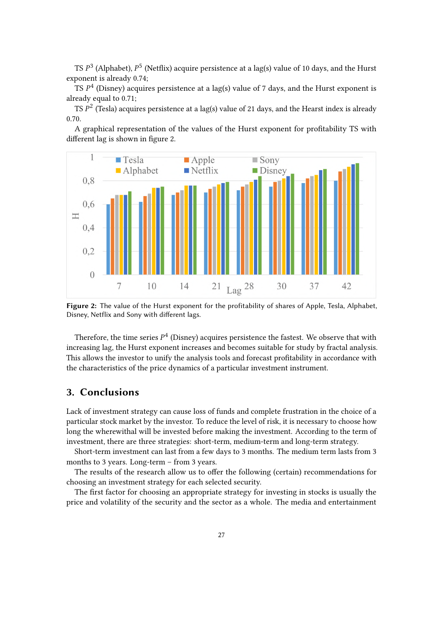TS  $P^3$  (Alphabet),  $P^5$  (Netflix) acquire persistence at a lag(s) value of 10 days, and the Hurst exponent is already 0.74;

TS  $P<sup>4</sup>$  (Disney) acquires persistence at a lag(s) value of 7 days, and the Hurst exponent is already equal to 0.71;

TS  $P^2$  (Tesla) acquires persistence at a lag(s) value of 21 days, and the Hearst index is already 0.70.

A graphical representation of the values of the Hurst exponent for profitability TS with different lag is shown in figure 2.



**Figure 2:** The value of the Hurst exponent for the profitability of shares of Apple, Tesla, Alphabet, Disney, Netflix and Sony with different lags.

Therefore, the time series  $P^4$  (Disney) acquires persistence the fastest. We observe that with increasing lag, the Hurst exponent increases and becomes suitable for study by fractal analysis. This allows the investor to unify the analysis tools and forecast profitability in accordance with the characteristics of the price dynamics of a particular investment instrument.

# **3. Conclusions**

Lack of investment strategy can cause loss of funds and complete frustration in the choice of a particular stock market by the investor. To reduce the level of risk, it is necessary to choose how long the wherewithal will be invested before making the investment. According to the term of investment, there are three strategies: short-term, medium-term and long-term strategy.

Short-term investment can last from a few days to 3 months. The medium term lasts from 3 months to 3 years. Long-term – from 3 years.

The results of the research allow us to offer the following (certain) recommendations for choosing an investment strategy for each selected security.

The first factor for choosing an appropriate strategy for investing in stocks is usually the price and volatility of the security and the sector as a whole. The media and entertainment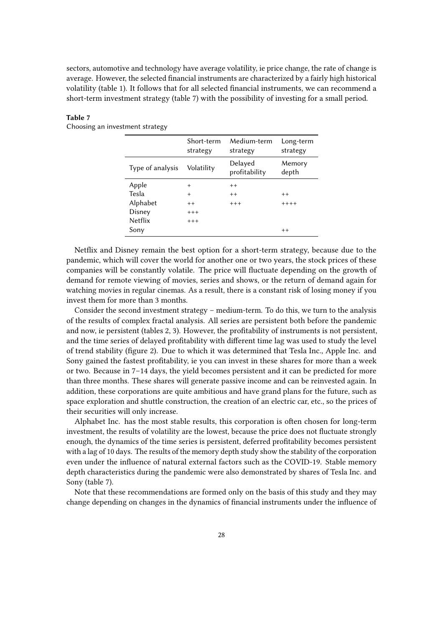sectors, automotive and technology have average volatility, ie price change, the rate of change is average. However, the selected financial instruments are characterized by a fairly high historical volatility (table 1). It follows that for all selected financial instruments, we can recommend a short-term investment strategy (table 7) with the possibility of investing for a small period.

#### **Table 7**

Choosing an investment strategy

|                  | Short-term<br>strategy | Medium-term<br>strategy  | Long-term<br>strategy |
|------------------|------------------------|--------------------------|-----------------------|
| Type of analysis | Volatility             | Delayed<br>profitability | Memory<br>depth       |
| Apple            | $\overline{+}$         | $++$                     |                       |
| Tesla            | $+$                    | $++$                     | $++$                  |
| Alphabet         | $++$                   | $+++$                    | $++++$                |
| Disney           | $+++$                  |                          |                       |
| <b>Netflix</b>   | $+++$                  |                          |                       |
| Sony             |                        |                          | $++$                  |

Netflix and Disney remain the best option for a short-term strategy, because due to the pandemic, which will cover the world for another one or two years, the stock prices of these companies will be constantly volatile. The price will fluctuate depending on the growth of demand for remote viewing of movies, series and shows, or the return of demand again for watching movies in regular cinemas. As a result, there is a constant risk of losing money if you invest them for more than 3 months.

Consider the second investment strategy – medium-term. To do this, we turn to the analysis of the results of complex fractal analysis. All series are persistent both before the pandemic and now, ie persistent (tables 2, 3). However, the profitability of instruments is not persistent, and the time series of delayed profitability with different time lag was used to study the level of trend stability (figure 2). Due to which it was determined that Tesla Inc., Apple Inc. and Sony gained the fastest profitability, ie you can invest in these shares for more than a week or two. Because in 7–14 days, the yield becomes persistent and it can be predicted for more than three months. These shares will generate passive income and can be reinvested again. In addition, these corporations are quite ambitious and have grand plans for the future, such as space exploration and shuttle construction, the creation of an electric car, etc., so the prices of their securities will only increase.

Alphabet Inc. has the most stable results, this corporation is often chosen for long-term investment, the results of volatility are the lowest, because the price does not fluctuate strongly enough, the dynamics of the time series is persistent, deferred profitability becomes persistent with a lag of 10 days. The results of the memory depth study show the stability of the corporation even under the influence of natural external factors such as the COVID-19. Stable memory depth characteristics during the pandemic were also demonstrated by shares of Tesla Inc. and Sony (table 7).

Note that these recommendations are formed only on the basis of this study and they may change depending on changes in the dynamics of financial instruments under the influence of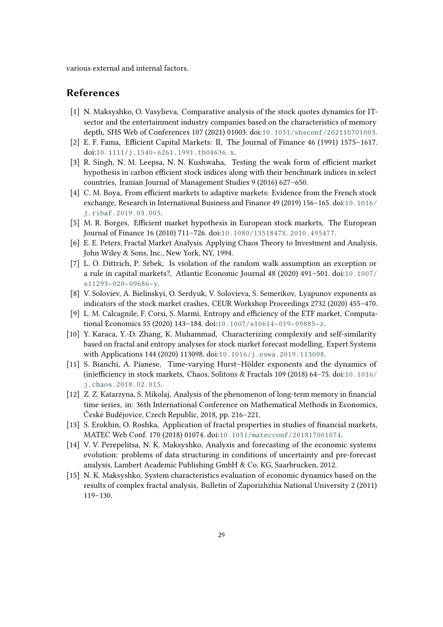various external and internal factors.

## **References**

- <span id="page-13-0"></span>[1] N. Maksyshko, O. Vasylieva, Comparative analysis of the stock quotes dynamics for ITsector and the entertainment industry companies based on the characteristics of memory depth, SHS Web of Conferences 107 (2021) 01003. doi:[10.1051/shsconf/202110701003](http://dx.doi.org/10.1051/shsconf/202110701003).
- <span id="page-13-1"></span>[2] E. F. Fama, Efficient Capital Markets: II, The Journal of Finance 46 (1991) 1575–1617. doi:[10.1111/j.1540- 6261.1991.tb04636.x](http://dx.doi.org/10.1111/j.1540-6261.1991.tb04636.x).
- <span id="page-13-2"></span>[3] R. Singh, N. M. Leepsa, N. N. Kushwaha, Testing the weak form of efficient market hypothesis in carbon efficient stock indices along with their benchmark indices in select countries, Iranian Journal of Management Studies 9 (2016) 627–650.
- <span id="page-13-3"></span>[4] C. M. Boya, From efficient markets to adaptive markets: Evidence from the French stock exchange, Research in International Business and Finance 49 (2019) 156–165. doi:[10.1016/](http://dx.doi.org/10.1016/j.ribaf.2019.03.005) [j.ribaf.2019.03.005](http://dx.doi.org/10.1016/j.ribaf.2019.03.005).
- <span id="page-13-4"></span>[5] M. R. Borges, Efficient market hypothesis in European stock markets, The European Journal of Finance 16 (2010) 711–726. doi:[10.1080/1351847X.2010.495477](http://dx.doi.org/10.1080/1351847X.2010.495477).
- <span id="page-13-5"></span>[6] E. E. Peters, Fractal Market Analysis. Applying Chaos Theory to Investment and Analysis, John Wiley & Sons, Inc., New York, NY, 1994.
- <span id="page-13-6"></span>[7] L. O. Dittrich, P. Srbek, Is violation of the random walk assumption an exception or a rule in capital markets?, Atlantic Economic Journal 48 (2020) 491–501. doi:[10.1007/](http://dx.doi.org/10.1007/s11293-020-09686-y)  $s11293 - 020 - 09686 - v.$
- <span id="page-13-7"></span>[8] V. Soloviev, A. Bielinskyi, O. Serdyuk, V. Solovieva, S. Semerikov, Lyapunov exponents as indicators of the stock market crashes, CEUR Workshop Proceedings 2732 (2020) 455–470.
- <span id="page-13-8"></span>[9] L. M. Calcagnile, F. Corsi, S. Marmi, Entropy and efficiency of the ETF market, Computational Economics 55 (2020) 143-184. doi:10.1007/s10614-019-09885-z.
- <span id="page-13-9"></span>[10] Y. Karaca, Y.-D. Zhang, K. Muhammad, Characterizing complexity and self-similarity based on fractal and entropy analyses for stock market forecast modelling, Expert Systems with Applications 144 (2020) 113098. doi:[10.1016/j.eswa.2019.113098](http://dx.doi.org/10.1016/j.eswa.2019.113098).
- <span id="page-13-10"></span>[11] S. Bianchi, A. Pianese, Time-varying Hurst–Hölder exponents and the dynamics of (in)efficiency in stock markets, Chaos, Solitons & Fractals 109 (2018) 64–75. doi:[10.1016/](http://dx.doi.org/10.1016/j.chaos.2018.02.015) [j.chaos.2018.02.015](http://dx.doi.org/10.1016/j.chaos.2018.02.015).
- <span id="page-13-11"></span>[12] Z. Z. Katarzyna, S. Mikolaj, Analysis of the phenomenon of long-term memory in financial time series, in: 36th International Conference on Mathematical Methods in Economics, České Budějovice, Czech Republic, 2018, pp. 216–221.
- <span id="page-13-12"></span>[13] S. Erokhin, O. Roshka, Application of fractal properties in studies of financial markets, MATEC Web Conf. 170 (2018) 01074. doi:[10.1051/matecconf/201817001074](http://dx.doi.org/10.1051/matecconf/201817001074).
- <span id="page-13-13"></span>[14] V. V. Perepelitsa, N. K. Maksyshko, Analysis and forecasting of the economic systems evolution: problems of data structuring in conditions of uncertainty and pre-forecast analysis, Lambert Academic Publishing GmbH & Co. KG, Saarbrucken, 2012.
- <span id="page-13-14"></span>[15] N. K. Maksyshko, System characteristics evaluation of economic dynamics based on the results of complex fractal analysis, Bulletin of Zaporizhzhia National University 2 (2011) 119–130.